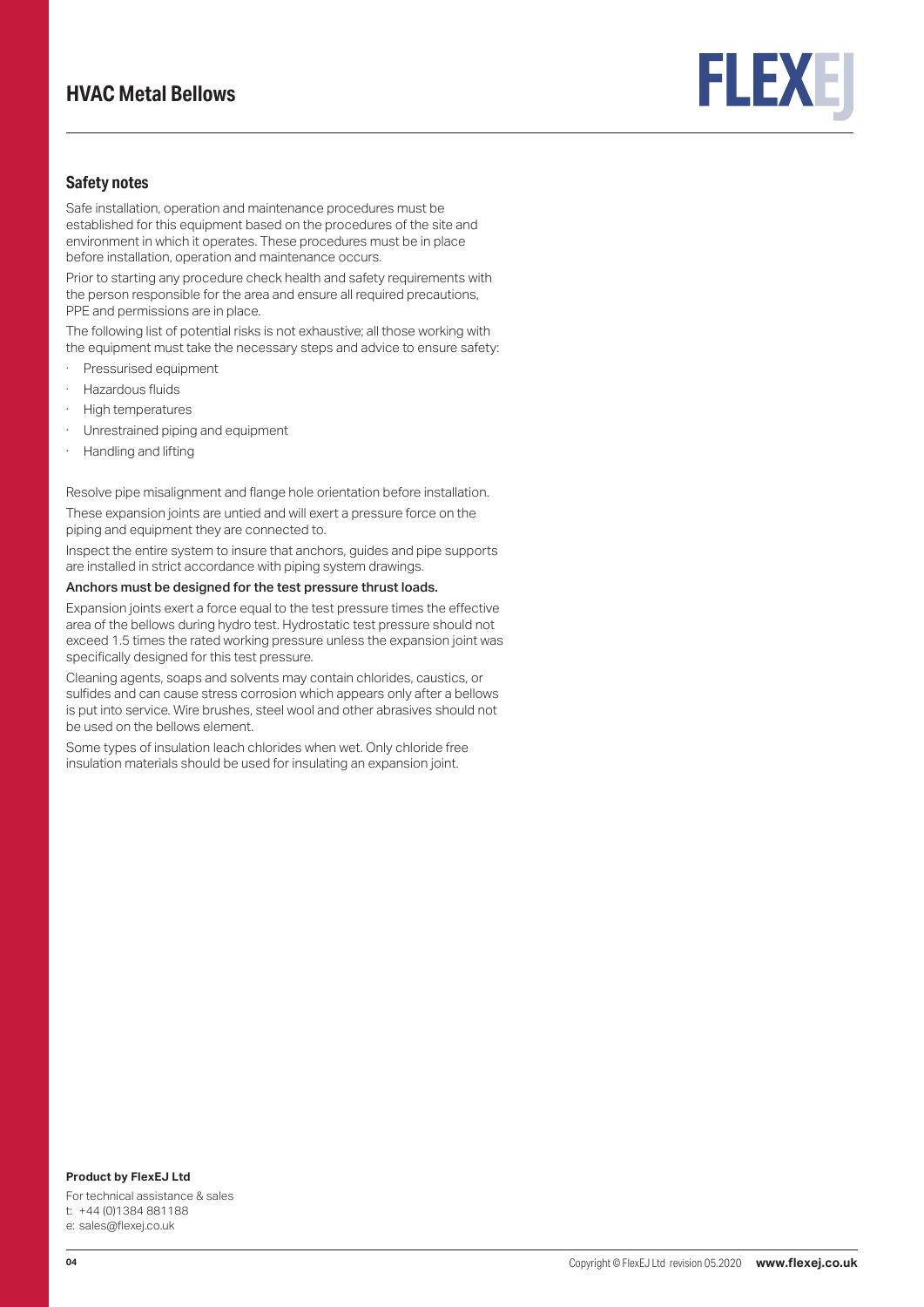# **HVAC Metal Bellows**



### **Safety notes**

Safe installation, operation and maintenance procedures must be established for this equipment based on the procedures of the site and environment in which it operates. These procedures must be in place before installation, operation and maintenance occurs.

Prior to starting any procedure check health and safety requirements with the person responsible for the area and ensure all required precautions, PPE and permissions are in place.

The following list of potential risks is not exhaustive; all those working with the equipment must take the necessary steps and advice to ensure safety:

- · Pressurised equipment
- Hazardous fluids
- · High temperatures
- · Unrestrained piping and equipment
- · Handling and lifting

Resolve pipe misalignment and flange hole orientation before installation.

These expansion joints are untied and will exert a pressure force on the piping and equipment they are connected to.

Inspect the entire system to insure that anchors, guides and pipe supports are installed in strict accordance with piping system drawings.

### Anchors must be designed for the test pressure thrust loads.

Expansion joints exert a force equal to the test pressure times the effective area of the bellows during hydro test. Hydrostatic test pressure should not exceed 1.5 times the rated working pressure unless the expansion joint was specifically designed for this test pressure.

Cleaning agents, soaps and solvents may contain chlorides, caustics, or sulfides and can cause stress corrosion which appears only after a bellows is put into service. Wire brushes, steel wool and other abrasives should not be used on the bellows element.

Some types of insulation leach chlorides when wet. Only chloride free insulation materials should be used for insulating an expansion joint.

### **Product by FlexEJ Ltd**

For technical assistance & sales t: +44 (0)1384 881188 e: sales@flexej.co.uk